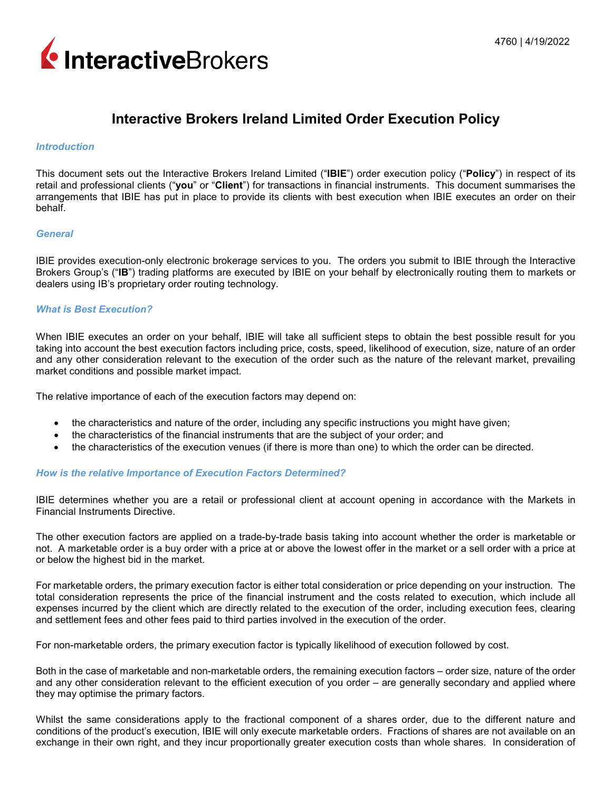

# **Interactive Brokers Ireland Limited Order Execution Policy**

# *Introduction*

This document sets out the Interactive Brokers Ireland Limited ("**IBIE**") order execution policy ("**Policy**") in respect of its retail and professional clients ("**you**" or "**Client**") for transactions in financial instruments. This document summarises the arrangements that IBIE has put in place to provide its clients with best execution when IBIE executes an order on their behalf.

#### *General*

IBIE provides execution-only electronic brokerage services to you. The orders you submit to IBIE through the Interactive Brokers Group's ("**IB**") trading platforms are executed by IBIE on your behalf by electronically routing them to markets or dealers using IB's proprietary order routing technology.

## *What is Best Execution?*

When IBIE executes an order on your behalf, IBIE will take all sufficient steps to obtain the best possible result for you taking into account the best execution factors including price, costs, speed, likelihood of execution, size, nature of an order and any other consideration relevant to the execution of the order such as the nature of the relevant market, prevailing market conditions and possible market impact.

The relative importance of each of the execution factors may depend on:

- the characteristics and nature of the order, including any specific instructions you might have given;
- the characteristics of the financial instruments that are the subject of your order; and
- the characteristics of the execution venues (if there is more than one) to which the order can be directed.

# *How is the relative Importance of Execution Factors Determined?*

IBIE determines whether you are a retail or professional client at account opening in accordance with the Markets in Financial Instruments Directive.

The other execution factors are applied on a trade-by-trade basis taking into account whether the order is marketable or not. A marketable order is a buy order with a price at or above the lowest offer in the market or a sell order with a price at or below the highest bid in the market.

For marketable orders, the primary execution factor is either total consideration or price depending on your instruction. The total consideration represents the price of the financial instrument and the costs related to execution, which include all expenses incurred by the client which are directly related to the execution of the order, including execution fees, clearing and settlement fees and other fees paid to third parties involved in the execution of the order.

For non-marketable orders, the primary execution factor is typically likelihood of execution followed by cost.

Both in the case of marketable and non-marketable orders, the remaining execution factors – order size, nature of the order and any other consideration relevant to the efficient execution of you order – are generally secondary and applied where they may optimise the primary factors.

Whilst the same considerations apply to the fractional component of a shares order, due to the different nature and conditions of the product's execution, IBIE will only execute marketable orders. Fractions of shares are not available on an exchange in their own right, and they incur proportionally greater execution costs than whole shares. In consideration of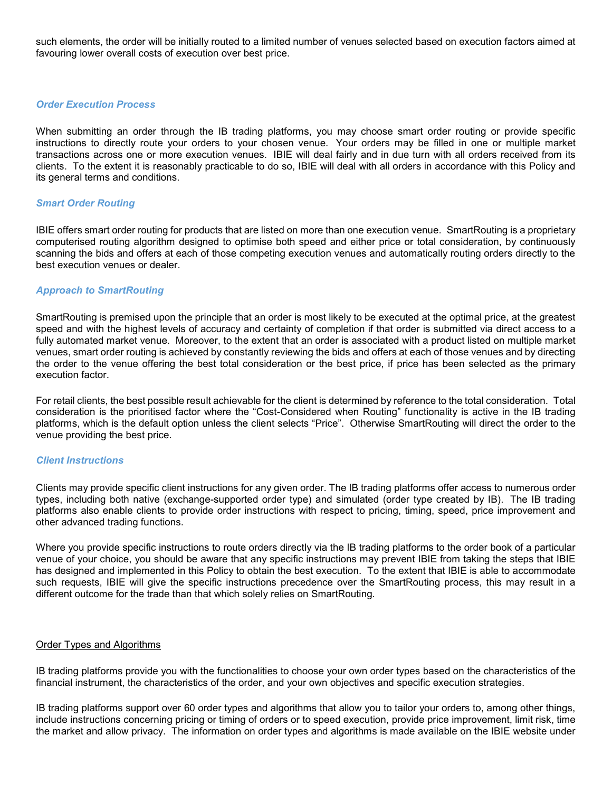such elements, the order will be initially routed to a limited number of venues selected based on execution factors aimed at favouring lower overall costs of execution over best price.

# *Order Execution Process*

When submitting an order through the IB trading platforms, you may choose smart order routing or provide specific instructions to directly route your orders to your chosen venue. Your orders may be filled in one or multiple market transactions across one or more execution venues. IBIE will deal fairly and in due turn with all orders received from its clients. To the extent it is reasonably practicable to do so, IBIE will deal with all orders in accordance with this Policy and its general terms and conditions.

# *Smart Order Routing*

IBIE offers smart order routing for products that are listed on more than one execution venue. SmartRouting is a proprietary computerised routing algorithm designed to optimise both speed and either price or total consideration, by continuously scanning the bids and offers at each of those competing execution venues and automatically routing orders directly to the best execution venues or dealer.

## *Approach to SmartRouting*

SmartRouting is premised upon the principle that an order is most likely to be executed at the optimal price, at the greatest speed and with the highest levels of accuracy and certainty of completion if that order is submitted via direct access to a fully automated market venue. Moreover, to the extent that an order is associated with a product listed on multiple market venues, smart order routing is achieved by constantly reviewing the bids and offers at each of those venues and by directing the order to the venue offering the best total consideration or the best price, if price has been selected as the primary execution factor.

For retail clients, the best possible result achievable for the client is determined by reference to the total consideration. Total consideration is the prioritised factor where the "Cost-Considered when Routing" functionality is active in the IB trading platforms, which is the default option unless the client selects "Price". Otherwise SmartRouting will direct the order to the venue providing the best price.

#### *Client Instructions*

Clients may provide specific client instructions for any given order. The IB trading platforms offer access to numerous order types, including both native (exchange-supported order type) and simulated (order type created by IB). The IB trading platforms also enable clients to provide order instructions with respect to pricing, timing, speed, price improvement and other advanced trading functions.

Where you provide specific instructions to route orders directly via the IB trading platforms to the order book of a particular venue of your choice, you should be aware that any specific instructions may prevent IBIE from taking the steps that IBIE has designed and implemented in this Policy to obtain the best execution. To the extent that IBIE is able to accommodate such requests, IBIE will give the specific instructions precedence over the SmartRouting process, this may result in a different outcome for the trade than that which solely relies on SmartRouting.

## Order Types and Algorithms

IB trading platforms provide you with the functionalities to choose your own order types based on the characteristics of the financial instrument, the characteristics of the order, and your own objectives and specific execution strategies.

IB trading platforms support over 60 order types and algorithms that allow you to tailor your orders to, among other things, include instructions concerning pricing or timing of orders or to speed execution, provide price improvement, limit risk, time the market and allow privacy. The information on order types and algorithms is made available on the IBIE website under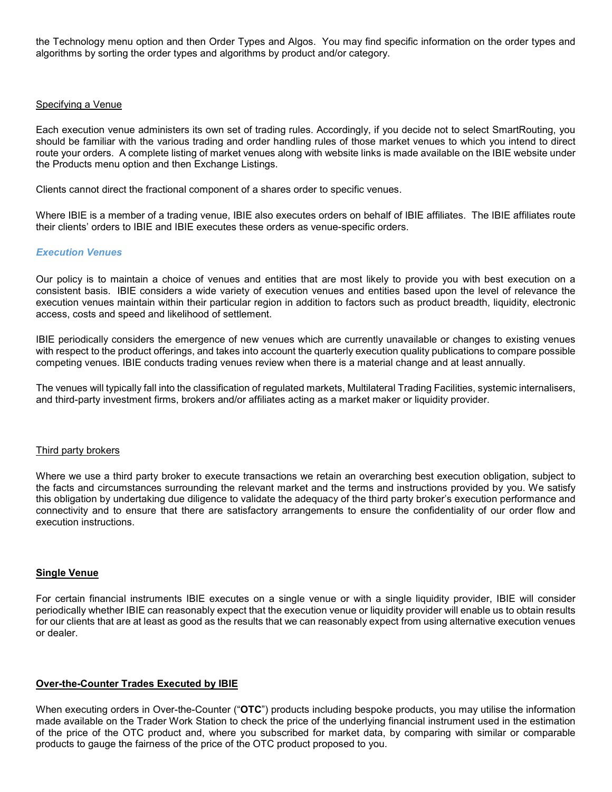the Technology menu option and then Order Types and Algos. You may find specific information on the order types and algorithms by sorting the order types and algorithms by product and/or category.

## Specifying a Venue

Each execution venue administers its own set of trading rules. Accordingly, if you decide not to select SmartRouting, you should be familiar with the various trading and order handling rules of those market venues to which you intend to direct route your orders. A complete listing of market venues along with website links is made available on the IBIE website under the Products menu option and then Exchange Listings.

Clients cannot direct the fractional component of a shares order to specific venues.

Where IBIE is a member of a trading venue, IBIE also executes orders on behalf of IBIE affiliates. The IBIE affiliates route their clients' orders to IBIE and IBIE executes these orders as venue-specific orders.

## *Execution Venues*

Our policy is to maintain a choice of venues and entities that are most likely to provide you with best execution on a consistent basis. IBIE considers a wide variety of execution venues and entities based upon the level of relevance the execution venues maintain within their particular region in addition to factors such as product breadth, liquidity, electronic access, costs and speed and likelihood of settlement.

IBIE periodically considers the emergence of new venues which are currently unavailable or changes to existing venues with respect to the product offerings, and takes into account the quarterly execution quality publications to compare possible competing venues. IBIE conducts trading venues review when there is a material change and at least annually.

The venues will typically fall into the classification of regulated markets, Multilateral Trading Facilities, systemic internalisers, and third-party investment firms, brokers and/or affiliates acting as a market maker or liquidity provider.

#### Third party brokers

Where we use a third party broker to execute transactions we retain an overarching best execution obligation, subject to the facts and circumstances surrounding the relevant market and the terms and instructions provided by you. We satisfy this obligation by undertaking due diligence to validate the adequacy of the third party broker's execution performance and connectivity and to ensure that there are satisfactory arrangements to ensure the confidentiality of our order flow and execution instructions.

# **Single Venue**

For certain financial instruments IBIE executes on a single venue or with a single liquidity provider, IBIE will consider periodically whether IBIE can reasonably expect that the execution venue or liquidity provider will enable us to obtain results for our clients that are at least as good as the results that we can reasonably expect from using alternative execution venues or dealer.

# **Over-the-Counter Trades Executed by IBIE**

When executing orders in Over-the-Counter ("**OTC**") products including bespoke products, you may utilise the information made available on the Trader Work Station to check the price of the underlying financial instrument used in the estimation of the price of the OTC product and, where you subscribed for market data, by comparing with similar or comparable products to gauge the fairness of the price of the OTC product proposed to you.